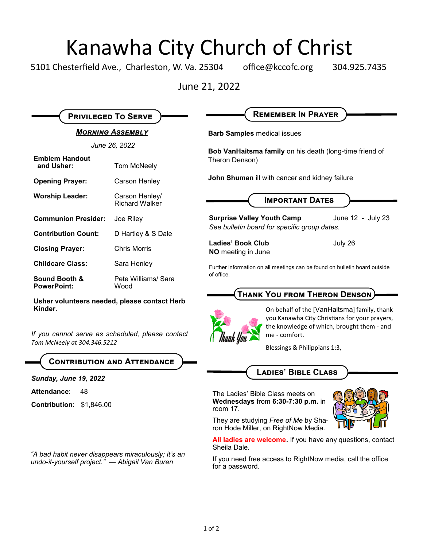# Kanawha City Church of Christ

5101 Chesterfield Ave., Charleston, W. Va. 25304 office@kccofc.org 304.925.7435

June 21, 2022

| <b>MORNING ASSEMBLY</b>             |                                         |
|-------------------------------------|-----------------------------------------|
| June 26, 2022                       |                                         |
| <b>Emblem Handout</b><br>and Usher: | Tom McNeely                             |
| <b>Opening Prayer:</b>              | Carson Henley                           |
| <b>Worship Leader:</b>              | Carson Henley/<br><b>Richard Walker</b> |
| <b>Communion Presider:</b>          | Joe Riley                               |
| <b>Contribution Count:</b>          | D Hartley & S Dale                      |
| <b>Closing Prayer:</b>              | Chris Morris                            |
| <b>Childcare Class:</b>             | Sara Henley                             |
| Sound Booth &<br><b>PowerPoint:</b> | Pete Williams/ Sara<br>Wood             |

**Privileged To Serve**

**Usher volunteers needed, please contact Herb Kinder.**

*If you cannot serve as scheduled, please contact Tom McNeely at 304.346.5212*

**Contribution and Attendance**

*Sunday, June 19, 2022*

Attendance: 48

**Contribution**: \$1,846.00

*"A bad habit never disappears miraculously; it's an undo-it-yourself project." — Abigail Van Buren* 

**Barb Samples** medical issues

**Bob VanHaitsma family** on his death (long-time friend of Theron Denson)

**Remember In Prayer**

**John Shuman** ill with cancer and kidney failure

**Important Dates**

**Surprise Valley Youth Camp** June 12 - July 23 *See bulletin board for specific group dates.*

**Ladies' Book Club** July 26 **NO** meeting in June

Further information on all meetings can be found on bulletin board outside of office.

## **Thank You from Theron Denson**



On behalf of the [VanHaitsma] family, thank you Kanawha City Christians for your prayers, the knowledge of which, brought them - and me - comfort.

Blessings & Philippians 1:3,

# **Ladies' Bible Class**

The Ladies' Bible Class meets on **Wednesdays** from **6:30-7:30 p.m.** in room 17.



They are studying *Free of Me* by Sharon Hode Miller, on RightNow Media.

**All ladies are welcome.** If you have any questions, contact Sheila Dale.

If you need free access to RightNow media, call the office for a password.